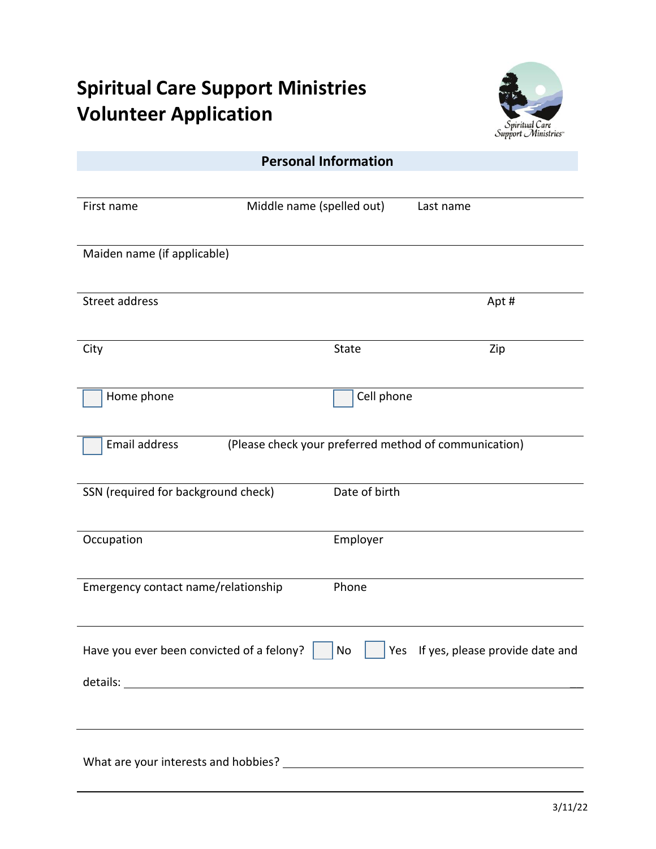## **Spiritual Care Support Ministries Volunteer Application**



| <b>Personal Information</b>               |                                                       |                                     |  |  |
|-------------------------------------------|-------------------------------------------------------|-------------------------------------|--|--|
|                                           |                                                       |                                     |  |  |
| First name                                | Middle name (spelled out)                             | Last name                           |  |  |
|                                           |                                                       |                                     |  |  |
| Maiden name (if applicable)               |                                                       |                                     |  |  |
| Street address                            |                                                       | Apt#                                |  |  |
|                                           |                                                       |                                     |  |  |
| City                                      | <b>State</b>                                          | Zip                                 |  |  |
|                                           |                                                       |                                     |  |  |
| Home phone                                | Cell phone                                            |                                     |  |  |
|                                           |                                                       |                                     |  |  |
| <b>Email address</b>                      | (Please check your preferred method of communication) |                                     |  |  |
|                                           | Date of birth                                         |                                     |  |  |
| SSN (required for background check)       |                                                       |                                     |  |  |
| Occupation                                | Employer                                              |                                     |  |  |
|                                           |                                                       |                                     |  |  |
| Emergency contact name/relationship       | Phone                                                 |                                     |  |  |
|                                           |                                                       |                                     |  |  |
| Have you ever been convicted of a felony? | No                                                    | Yes If yes, please provide date and |  |  |
|                                           |                                                       |                                     |  |  |
|                                           |                                                       |                                     |  |  |
|                                           |                                                       |                                     |  |  |
|                                           |                                                       |                                     |  |  |
|                                           |                                                       |                                     |  |  |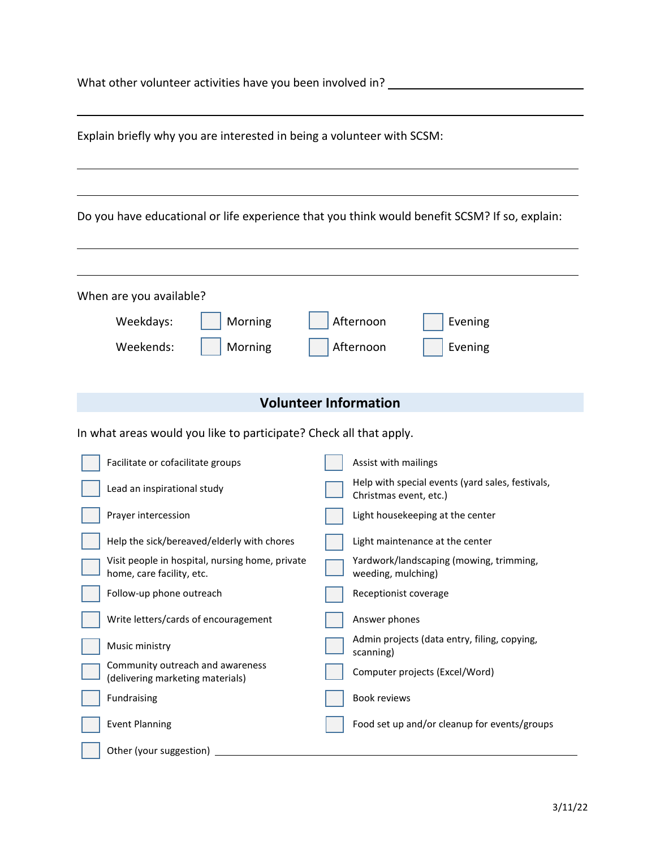Community outreach and awareness

| Explain briefly why you are interested in being a volunteer with SCSM:       |                                                                                               |  |  |  |
|------------------------------------------------------------------------------|-----------------------------------------------------------------------------------------------|--|--|--|
|                                                                              |                                                                                               |  |  |  |
|                                                                              | Do you have educational or life experience that you think would benefit SCSM? If so, explain: |  |  |  |
|                                                                              |                                                                                               |  |  |  |
| When are you available?                                                      |                                                                                               |  |  |  |
| Morning<br>Weekdays:                                                         | Afternoon<br>Evening                                                                          |  |  |  |
| Weekends:<br>Morning                                                         | Afternoon<br>Evening                                                                          |  |  |  |
|                                                                              |                                                                                               |  |  |  |
| <b>Volunteer Information</b>                                                 |                                                                                               |  |  |  |
| In what areas would you like to participate? Check all that apply.           |                                                                                               |  |  |  |
| Facilitate or cofacilitate groups                                            | Assist with mailings                                                                          |  |  |  |
| Lead an inspirational study                                                  | Help with special events (yard sales, festivals,<br>Christmas event, etc.)                    |  |  |  |
| Prayer intercession                                                          | Light housekeeping at the center                                                              |  |  |  |
| Help the sick/bereaved/elderly with chores                                   | Light maintenance at the center                                                               |  |  |  |
| Visit people in hospital, nursing home, private<br>home, care facility, etc. | Yardwork/landscaping (mowing, trimming,<br>weeding, mulching)                                 |  |  |  |
| Follow-up phone outreach                                                     | Receptionist coverage                                                                         |  |  |  |
| Write letters/cards of encouragement                                         | Answer phones                                                                                 |  |  |  |
| Music ministry                                                               | Admin projects (data entry, filing, copying,<br>cranning).                                    |  |  |  |

(delivering marketing materials) Computer projects (Excel/Word)

Event Planning Food set up and/or cleanup for events/groups

Fundraising **Book reviews Book reviews** 

Other (your suggestion)

 $\Box$  scanning)